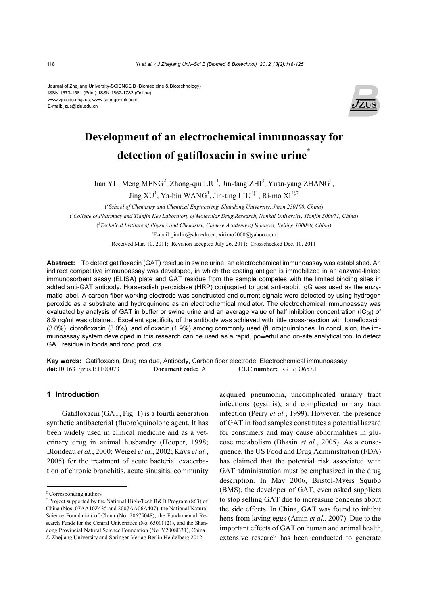Journal of Zhejiang University-SCIENCE B (Biomedicine & Biotechnology) ISSN 1673-1581 (Print); ISSN 1862-1783 (Online) www.zju.edu.cn/jzus; www.springerlink.com E-mail: jzus@zju.edu.cn



# **Development of an electrochemical immunoassay for detection of gatifloxacin in swine urine\***

Jian YI<sup>1</sup>, Meng MENG<sup>2</sup>, Zhong-qiu LIU<sup>1</sup>, Jin-fang ZHI<sup>3</sup>, Yuan-yang ZHANG<sup>1</sup>,  $\text{Jing } XU^1$ , Ya-bin WANG<sup>1</sup>, Jin-ting LIU<sup>†‡1</sup>, Ri-mo  $XI^{\dagger\ddagger 2}$ 

( *1 School of Chemistry and Chemical Engineering, Shandong University, Jinan 250100, China*) ( *2 College of Pharmacy and Tianjin Key Laboratory of Molecular Drug Research, Nankai University, Tianjin 300071, China*) ( *3 Technical Institute of Physics and Chemistry, Chinese Academy of Sciences, Beijing 100080, China*) † E-mail: jintliu@sdu.edu.cn; xirimo2000@yahoo.com

Received Mar. 10, 2011; Revision accepted July 26, 2011; Crosschecked Dec. 10, 2011

**Abstract:** To detect gatifloxacin (GAT) residue in swine urine, an electrochemical immunoassay was established. An indirect competitive immunoassay was developed, in which the coating antigen is immobilized in an enzyme-linked immunosorbent assay (ELISA) plate and GAT residue from the sample competes with the limited binding sites in added anti-GAT antibody. Horseradish peroxidase (HRP) conjugated to goat anti-rabbit IgG was used as the enzymatic label. A carbon fiber working electrode was constructed and current signals were detected by using hydrogen peroxide as a substrate and hydroquinone as an electrochemical mediator. The electrochemical immunoassay was evaluated by analysis of GAT in buffer or swine urine and an average value of half inhibition concentration (IC $_{50}$ ) of 8.9 ng/ml was obtained. Excellent specificity of the antibody was achieved with little cross-reaction with lomefloxacin (3.0%), ciprofloxacin (3.0%), and ofloxacin (1.9%) among commonly used (fluoro)quinolones. In conclusion, the immunoassay system developed in this research can be used as a rapid, powerful and on-site analytical tool to detect GAT residue in foods and food products.

**Key words:** Gatifloxacin, Drug residue, Antibody, Carbon fiber electrode, Electrochemical immunoassay **doi:**10.1631/jzus.B1100073 **Document code:** A **CLC number:** R917; O657.1

#### **1 Introduction**

Gatifloxacin (GAT, Fig. 1) is a fourth generation synthetic antibacterial (fluoro)quinolone agent. It has been widely used in clinical medicine and as a veterinary drug in animal husbandry (Hooper, 1998; Blondeau *et al.*, 2000; Weigel *et al.*, 2002; Kays *et al.*, 2005) for the treatment of acute bacterial exacerbation of chronic bronchitis, acute sinusitis, community acquired pneumonia, uncomplicated urinary tract infections (cystitis), and complicated urinary tract infection (Perry *et al.*, 1999). However, the presence of GAT in food samples constitutes a potential hazard for consumers and may cause abnormalities in glucose metabolism (Bhasin *et al.*, 2005). As a consequence, the US Food and Drug Administration (FDA) has claimed that the potential risk associated with GAT administration must be emphasized in the drug description. In May 2006, Bristol-Myers Squibb (BMS), the developer of GAT, even asked suppliers to stop selling GAT due to increasing concerns about the side effects. In China, GAT was found to inhibit hens from laying eggs (Amin *et al.*, 2007). Due to the important effects of GAT on human and animal health, extensive research has been conducted to generate

<sup>‡</sup> Corresponding authors

<sup>\*</sup> Project supported by the National High-Tech R&D Program (863) of China (Nos. 07AA10Z435 and 2007AA06A407), the National Natural Science Foundation of China (No. 20675048), the Fundamental Research Funds for the Central Universities (No. 65011121), and the Shandong Provincial Natural Science Foundation (No. Y2008B31), China © Zhejiang University and Springer-Verlag Berlin Heidelberg 2012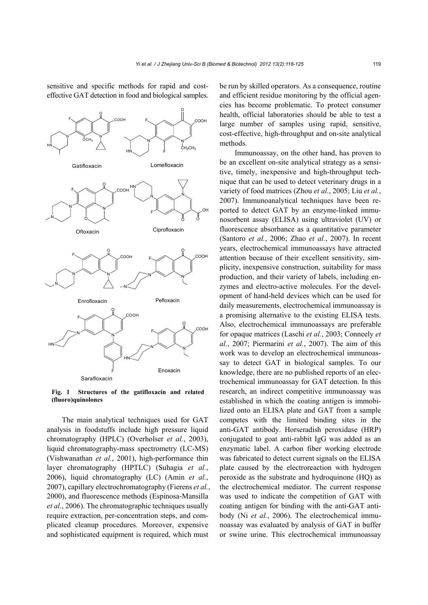sensitive and specific methods for rapid and costeffective GAT detection in food and biological samples.



**Fig. 1 Structures of the gatifloxacin and related (fluoro)quinolones**

The main analytical techniques used for GAT analysis in foodstuffs include high pressure liquid chromatography (HPLC) (Overholser *et al.*, 2003), liquid chromatography-mass spectrometry (LC-MS) (Vishwanathan *et al.*, 2001), high-performance thin layer chromatography (HPTLC) (Suhagia *et al.*, 2006), liquid chromatography (LC) (Amin *et al.*, 2007), capillary electrochromatography (Fierens *et al.*, 2000), and fluorescence methods (Espinosa-Mansilla *et al.*, 2006). The chromatographic techniques usually require extraction, per-concentration steps, and complicated cleanup procedures. Moreover, expensive and sophisticated equipment is required, which must

be run by skilled operators. As a consequence, routine and efficient residue monitoring by the official agencies has become problematic. To protect consumer health, official laboratories should be able to test a large number of samples using rapid, sensitive, cost-effective, high-throughput and on-site analytical methods.

Immunoassay, on the other hand, has proven to be an excellent on-site analytical strategy as a sensitive, timely, inexpensive and high-throughput technique that can be used to detect veterinary drugs in a variety of food matrices (Zhou *et al.*, 2005; Liu *et al.*, 2007). Immunoanalytical techniques have been reported to detect GAT by an enzyme-linked immunosorbent assay (ELISA) using ultraviolet (UV) or fluorescence absorbance as a quantitative parameter (Santoro *et al.*, 2006; Zhao *et al.*, 2007). In recent years, electrochemical immunoassays have attracted attention because of their excellent sensitivity, simplicity, inexpensive construction, suitability for mass production, and their variety of labels, including enzymes and electro-active molecules. For the development of hand-held devices which can be used for daily measurements, electrochemical immunoassay is a promising alternative to the existing ELISA tests. Also, electrochemical immunoassays are preferable for opaque matrices (Laschi *et al.*, 2003; Conneely *et al.*, 2007; Piermarini *et al.*, 2007). The aim of this work was to develop an electrochemical immunoassay to detect GAT in biological samples. To our knowledge, there are no published reports of an electrochemical immunoassay for GAT detection. In this research, an indirect competitive immunoassay was established in which the coating antigen is immobilized onto an ELISA plate and GAT from a sample competes with the limited binding sites in the anti-GAT antibody. Horseradish peroxidase (HRP) conjugated to goat anti-rabbit IgG was added as an enzymatic label. A carbon fiber working electrode was fabricated to detect current signals on the ELISA plate caused by the electroreaction with hydrogen peroxide as the substrate and hydroquinone (HQ) as the electrochemical mediator. The current response was used to indicate the competition of GAT with coating antigen for binding with the anti-GAT antibody (Ni *et al.*, 2006). The electrochemical immunoassay was evaluated by analysis of GAT in buffer or swine urine. This electrochemical immunoassay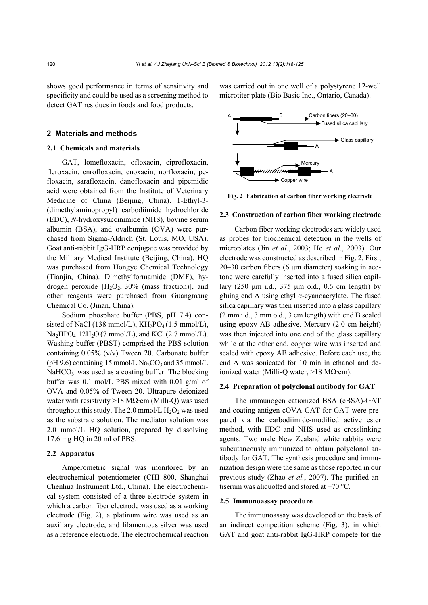shows good performance in terms of sensitivity and specificity and could be used as a screening method to detect GAT residues in foods and food products.

## **2 Materials and methods**

# **2.1 Chemicals and materials**

GAT, lomefloxacin, ofloxacin, ciprofloxacin, fleroxacin, enrofloxacin, enoxacin, norfloxacin, pefloxacin, sarafloxacin, danofloxacin and pipemidic acid were obtained from the Institute of Veterinary Medicine of China (Beijing, China). 1-Ethyl-3- (dimethylaminopropyl) carbodiimide hydrochloride (EDC), *N*-hydroxysuccinimide (NHS), bovine serum albumin (BSA), and ovalbumin (OVA) were purchased from Sigma-Aldrich (St. Louis, MO, USA). Goat anti-rabbit IgG-HRP conjugate was provided by the Military Medical Institute (Beijing, China). HQ was purchased from Hongye Chemical Technology (Tianjin, China). Dimethylformamide (DMF), hydrogen peroxide  $[H_2O_2, 30\%$  (mass fraction)], and other reagents were purchased from Guangmang Chemical Co. (Jinan, China).

Sodium phosphate buffer (PBS, pH 7.4) consisted of NaCl (138 mmol/L),  $KH_2PO_4(1.5 \text{ mmol/L})$ ,  $Na<sub>2</sub>HPO<sub>4</sub>·12H<sub>2</sub>O$  (7 mmol/L), and KCl (2.7 mmol/L). Washing buffer (PBST) comprised the PBS solution containing 0.05% (v/v) Tween 20. Carbonate buffer (pH 9.6) containing 15 mmol/L Na<sub>2</sub>CO<sub>3</sub> and 35 mmol/L  $NaHCO<sub>3</sub>$  was used as a coating buffer. The blocking buffer was 0.1 mol/L PBS mixed with 0.01 g/ml of OVA and 0.05% of Tween 20. Ultrapure deionized water with resistivity >18 M $\Omega$ ·cm (Milli-Q) was used throughout this study. The 2.0 mmol/L  $H_2O_2$  was used as the substrate solution. The mediator solution was 2.0 mmol/L HQ solution, prepared by dissolving 17.6 mg HQ in 20 ml of PBS.

#### **2.2 Apparatus**

Amperometric signal was monitored by an electrochemical potentiometer (CHI 800, Shanghai Chenhua Instrument Ltd., China). The electrochemical system consisted of a three-electrode system in which a carbon fiber electrode was used as a working electrode (Fig. 2), a platinum wire was used as an auxiliary electrode, and filamentous silver was used as a reference electrode. The electrochemical reaction was carried out in one well of a polystyrene 12-well microtiter plate (Bio Basic Inc., Ontario, Canada).



**Fig. 2 Fabrication of carbon fiber working electrode**

#### **2.3 Construction of carbon fiber working electrode**

Carbon fiber working electrodes are widely used as probes for biochemical detection in the wells of microplates (Jin *et al.*, 2003; He *et al.*, 2003). Our electrode was constructed as described in Fig. 2. First, 20–30 carbon fibers (6 μm diameter) soaking in acetone were carefully inserted into a fused silica capillary (250 μm i.d., 375 μm o.d., 0.6 cm length) by gluing end A using ethyl α-cyanoacrylate. The fused silica capillary was then inserted into a glass capillary (2 mm i.d., 3 mm o.d., 3 cm length) with end B sealed using epoxy AB adhesive. Mercury (2.0 cm height) was then injected into one end of the glass capillary while at the other end, copper wire was inserted and sealed with epoxy AB adhesive. Before each use, the end A was sonicated for 10 min in ethanol and deionized water (Milli-Q water, >18 MΩ·cm).

#### **2.4 Preparation of polyclonal antibody for GAT**

The immunogen cationized BSA (cBSA)-GAT and coating antigen cOVA-GAT for GAT were prepared via the carbodiimide-modified active ester method, with EDC and NHS used as crosslinking agents. Two male New Zealand white rabbits were subcutaneously immunized to obtain polyclonal antibody for GAT. The synthesis procedure and immunization design were the same as those reported in our previous study (Zhao *et al.*, 2007). The purified antiserum was aliquotted and stored at −70 °C.

#### **2.5 Immunoassay procedure**

The immunoassay was developed on the basis of an indirect competition scheme (Fig. 3), in which GAT and goat anti-rabbit IgG-HRP compete for the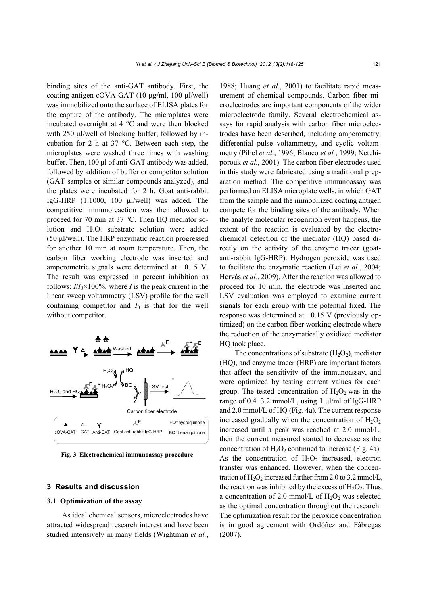binding sites of the anti-GAT antibody. First, the coating antigen cOVA-GAT (10 μg/ml, 100 μl/well) was immobilized onto the surface of ELISA plates for the capture of the antibody. The microplates were incubated overnight at 4 °C and were then blocked with 250 μl/well of blocking buffer, followed by incubation for 2 h at 37 °C. Between each step, the microplates were washed three times with washing buffer. Then, 100 μl of anti-GAT antibody was added, followed by addition of buffer or competitor solution (GAT samples or similar compounds analyzed), and the plates were incubated for 2 h. Goat anti-rabbit IgG-HRP (1:1000, 100 μl/well) was added. The competitive immunoreaction was then allowed to proceed for 70 min at 37 °C. Then HQ mediator solution and  $H_2O_2$  substrate solution were added (50 μl/well). The HRP enzymatic reaction progressed for another 10 min at room temperature. Then, the carbon fiber working electrode was inserted and amperometric signals were determined at −0.15 V. The result was expressed in percent inhibition as follows:  $I/I_0 \times 100\%$ , where *I* is the peak current in the linear sweep voltammetry (LSV) profile for the well containing competitor and  $I_0$  is that for the well without competitor.



**Fig. 3 Electrochemical immunoassay procedure**

# **3 Results and discussion**

#### **3.1 Optimization of the assay**

As ideal chemical sensors, microelectrodes have attracted widespread research interest and have been studied intensively in many fields (Wightman *et al.*, 1988; Huang *et al.*, 2001) to facilitate rapid measurement of chemical compounds. Carbon fiber microelectrodes are important components of the wider microelectrode family. Several electrochemical assays for rapid analysis with carbon fiber microelectrodes have been described, including amperometry, differential pulse voltammetry, and cyclic voltammetry (Pihel *et al.*, 1996; Blanco *et al.*, 1999; Netchiporouk *et al.*, 2001). The carbon fiber electrodes used in this study were fabricated using a traditional preparation method. The competitive immunoassay was performed on ELISA microplate wells, in which GAT from the sample and the immobilized coating antigen compete for the binding sites of the antibody. When the analyte molecular recognition event happens, the extent of the reaction is evaluated by the electrochemical detection of the mediator (HQ) based directly on the activity of the enzyme tracer (goatanti-rabbit IgG-HRP). Hydrogen peroxide was used to facilitate the enzymatic reaction (Lei *et al.*, 2004; Hervás *et al.*, 2009). After the reaction was allowed to proceed for 10 min, the electrode was inserted and LSV evaluation was employed to examine current signals for each group with the potential fixed. The response was determined at −0.15 V (previously optimized) on the carbon fiber working electrode where the reduction of the enzymatically oxidized mediator HQ took place.

The concentrations of substrate  $(H_2O_2)$ , mediator (HQ), and enzyme tracer (HRP) are important factors that affect the sensitivity of the immunoassay, and were optimized by testing current values for each group. The tested concentration of  $H_2O_2$  was in the range of 0.4−3.2 mmol/L, using 1 μl/ml of IgG-HRP and 2.0 mmol/L of HQ (Fig. 4a). The current response increased gradually when the concentration of  $H_2O_2$ increased until a peak was reached at 2.0 mmol/L, then the current measured started to decrease as the concentration of  $H_2O_2$  continued to increase (Fig. 4a). As the concentration of  $H_2O_2$  increased, electron transfer was enhanced. However, when the concentration of  $H_2O_2$  increased further from 2.0 to 3.2 mmol/L, the reaction was inhibited by the excess of  $H_2O_2$ . Thus, a concentration of 2.0 mmol/L of  $H_2O_2$  was selected as the optimal concentration throughout the research. The optimization result for the peroxide concentration is in good agreement with Ordóñez and Fàbregas (2007).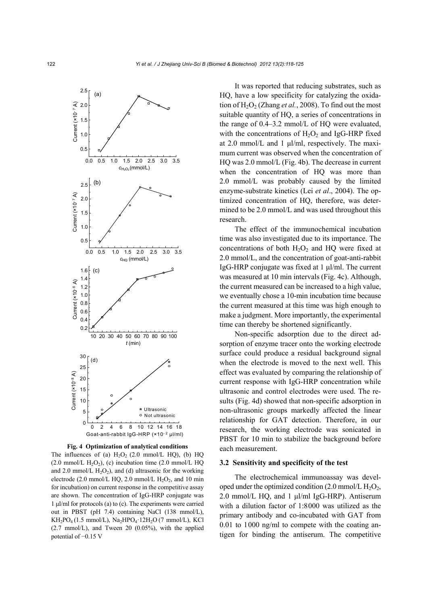

The influences of (a)  $H_2O_2$  (2.0 mmol/L HQ), (b) HQ  $(2.0 \text{ mmol/L H}_2\text{O}_2)$ , (c) incubation time  $(2.0 \text{ mmol/L HQ})$ and 2.0 mmol/L  $H_2O_2$ ), and (d) ultrasonic for the working electrode (2.0 mmol/L HQ, 2.0 mmol/L H<sub>2</sub>O<sub>2</sub>, and 10 min for incubation) on current response in the competitive assay are shown. The concentration of IgG-HRP conjugate was 1 μl/ml for protocols (a) to (c). The experiments were carried out in PBST (pH 7.4) containing NaCl (138 mmol/L),  $KH_2PO_4 (1.5 mmol/L)$ ,  $Na_2HPO_4 \cdot 12H_2O (7 mmol/L)$ , KCl  $(2.7 \text{ mmol/L})$ , and Tween 20  $(0.05\%)$ , with the applied potential of −0.15 V

It was reported that reducing substrates, such as HQ, have a low specificity for catalyzing the oxidation of  $H_2O_2$  (Zhang *et al.*, 2008). To find out the most suitable quantity of HQ, a series of concentrations in the range of 0.4–3.2 mmol/L of HQ were evaluated, with the concentrations of  $H_2O_2$  and IgG-HRP fixed at 2.0 mmol/L and 1 μl/ml, respectively. The maximum current was observed when the concentration of HQ was 2.0 mmol/L (Fig. 4b). The decrease in current when the concentration of HQ was more than 2.0 mmol/L was probably caused by the limited enzyme-substrate kinetics (Lei *et al*., 2004). The optimized concentration of HQ, therefore, was determined to be 2.0 mmol/L and was used throughout this research.

The effect of the immunochemical incubation time was also investigated due to its importance. The concentrations of both  $H_2O_2$  and HQ were fixed at 2.0 mmol/L, and the concentration of goat-anti-rabbit IgG-HRP conjugate was fixed at 1 μl/ml. The current was measured at 10 min intervals (Fig. 4c). Although, the current measured can be increased to a high value, we eventually chose a 10-min incubation time because the current measured at this time was high enough to make a judgment. More importantly, the experimental time can thereby be shortened significantly.

Non-specific adsorption due to the direct adsorption of enzyme tracer onto the working electrode surface could produce a residual background signal when the electrode is moved to the next well. This effect was evaluated by comparing the relationship of current response with IgG-HRP concentration while ultrasonic and control electrodes were used. The results (Fig. 4d) showed that non-specific adsorption in non-ultrasonic groups markedly affected the linear relationship for GAT detection. Therefore, in our research, the working electrode was sonicated in PBST for 10 min to stabilize the background before each measurement.

#### **3.2 Sensitivity and specificity of the test**

The electrochemical immunoassay was developed under the optimized condition  $(2.0 \text{ mmol/L H}_2\text{O}_2)$ , 2.0 mmol/L HQ, and 1 μl/ml IgG-HRP). Antiserum with a dilution factor of 1:8000 was utilized as the primary antibody and co-incubated with GAT from 0.01 to 1000 ng/ml to compete with the coating antigen for binding the antiserum. The competitive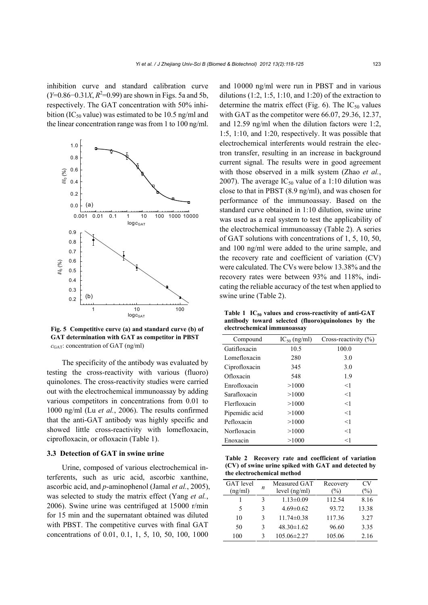inhibition curve and standard calibration curve  $(Y=0.86-0.31X, R^2=0.99)$  are shown in Figs. 5a and 5b, respectively. The GAT concentration with 50% inhibition (IC<sub>50</sub> value) was estimated to be 10.5 ng/ml and the linear concentration range was from 1 to 100 ng/ml.



**Fig. 5 Competitive curve (a) and standard curve (b) of GAT determination with GAT as competitor in PBST**   $c_{GAT}$ : concentration of GAT (ng/ml)

The specificity of the antibody was evaluated by testing the cross-reactivity with various (fluoro) quinolones. The cross-reactivity studies were carried out with the electrochemical immunoassay by adding various competitors in concentrations from 0.01 to 1000 ng/ml (Lu *et al.*, 2006). The results confirmed that the anti-GAT antibody was highly specific and showed little cross-reactivity with lomefloxacin, ciprofloxacin, or ofloxacin (Table 1).

### **3.3 Detection of GAT in swine urine**

Urine, composed of various electrochemical interferents, such as uric acid, ascorbic xanthine, ascorbic acid, and *p*-aminophenol (Jamal *et al.*, 2005), was selected to study the matrix effect (Yang *et al.*, 2006). Swine urine was centrifuged at 15000 r/min for 15 min and the supernatant obtained was diluted with PBST. The competitive curves with final GAT concentrations of 0.01, 0.1, 1, 5, 10, 50, 100, 1000

and 10000 ng/ml were run in PBST and in various dilutions  $(1:2, 1:5, 1:10, \text{ and } 1:20)$  of the extraction to determine the matrix effect (Fig. 6). The  $IC_{50}$  values with GAT as the competitor were 66.07, 29.36, 12.37, and 12.59 ng/ml when the dilution factors were 1:2, 1:5, 1:10, and 1:20, respectively. It was possible that electrochemical interferents would restrain the electron transfer, resulting in an increase in background current signal. The results were in good agreement with those observed in a milk system (Zhao *et al.*, 2007). The average  $IC_{50}$  value of a 1:10 dilution was close to that in PBST (8.9 ng/ml), and was chosen for performance of the immunoassay. Based on the standard curve obtained in 1:10 dilution, swine urine was used as a real system to test the applicability of the electrochemical immunoassay (Table 2). A series of GAT solutions with concentrations of 1, 5, 10, 50, and 100 ng/ml were added to the urine sample, and the recovery rate and coefficient of variation (CV) were calculated. The CVs were below 13.38% and the recovery rates were between 93% and 118%, indicating the reliable accuracy of the test when applied to swine urine (Table 2).

Table 1 IC<sub>50</sub> values and cross-reactivity of anti-GAT **antibody toward selected (fluoro)quinolones by the electrochemical immunoassay**

| Compound       | $IC_{50}$ (ng/ml) | Cross-reactivity $(\%)$ |
|----------------|-------------------|-------------------------|
| Gatifloxacin   | 10.5              | 100.0                   |
| Lomefloxacin   | 280               | 3.0                     |
| Ciprofloxacin  | 345               | 3.0                     |
| Ofloxacin      | 548               | 1.9                     |
| Enrofloxacin   | >1000             | $<$ 1                   |
| Sarafloxacin   | >1000             | $<$ 1                   |
| Flerfloxacin   | >1000             | <1                      |
| Pipemidic acid | >1000             | $<$ 1                   |
| Pefloxacin     | >1000             | $<$ 1                   |
| Norfloxacin    | >1000             | $<$ 1                   |
| Enoxacin       | >1000             | $<$ 1                   |

|                            |  | Table 2 Recovery rate and coefficient of variation  |  |
|----------------------------|--|-----------------------------------------------------|--|
|                            |  | (CV) of swine urine spiked with GAT and detected by |  |
| the electrochemical method |  |                                                     |  |

| GAT level<br>(ng/ml) | n | Measured GAT<br>level (ng/ml) | Recovery<br>$\%$ | CV<br>$\%$ |
|----------------------|---|-------------------------------|------------------|------------|
|                      | 3 | $1.13 \pm 0.09$               | 112.54           | 8.16       |
| 5                    | 3 | $4.69\pm0.62$                 | 93.72            | 13.38      |
| 10                   | 3 | $11.74 \pm 0.38$              | 117.36           | 3.27       |
| 50                   | 3 | $48.30 \pm 1.62$              | 96.60            | 3.35       |
| 100                  |   | 105.06±2.27                   | 105.06           | 2.16       |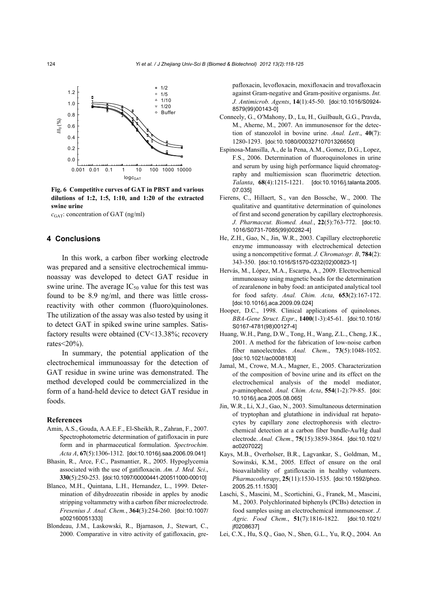

**Fig. 6 Competitive curves of GAT in PBST and various dilutions of 1:2, 1:5, 1:10, and 1:20 of the extracted swine urine** 

*c*<sub>GAT</sub>: concentration of GAT (ng/ml)

# **4 Conclusions**

In this work, a carbon fiber working electrode was prepared and a sensitive electrochemical immunoassay was developed to detect GAT residue in swine urine. The average  $IC_{50}$  value for this test was found to be 8.9 ng/ml, and there was little crossreactivity with other common (fluoro)quinolones. The utilization of the assay was also tested by using it to detect GAT in spiked swine urine samples. Satisfactory results were obtained (CV<13.38%; recovery rates<20%).

In summary, the potential application of the electrochemical immunoassay for the detection of GAT residue in swine urine was demonstrated. The method developed could be commercialized in the form of a hand-held device to detect GAT residue in foods.

## **References**

- Amin, A.S., Gouda, A.A.E.F., El-Sheikh, R., Zahran, F., 2007. Spectrophotometric determination of gatifloxacin in pure form and in pharmaceutical formulation. *Spectrochim. Acta A*, **67**(5):1306-1312. [doi:10.1016/j.saa.2006.09.041]
- Bhasin, R., Arce, F.C., Pasmantier, R., 2005. Hypoglycemia associated with the use of gatifloxacin. *Am. J. Med. Sci*., **330**(5):250-253. [doi:10.1097/00000441-200511000-00010]
- Blanco, M.H., Quintana, L.H., Hernandez, L., 1999. Determination of dihydrozeatin riboside in apples by anodic stripping voltammetry with a carbon fiber microelectrode. *Fresenius J. Anal. Chem.*, **364**(3):254-260. [doi:10.1007/ s002160051333]
- Blondeau, J.M., Laskowski, R., Bjarnason, J., Stewart, C., 2000. Comparative in vitro activity of gatifloxacin, gre-

pafloxacin, levofloxacin, moxifloxacin and trovafloxacin against Gram-negative and Gram-positive organisms. *Int. J. Antimicrob. Agents*, **14**(1):45-50. [doi:10.1016/S0924- 8579(99)00143-0]

- Conneely, G., O′Mahony, D., Lu, H., Guilbault, G.G., Pravda, M., Aherne, M., 2007. An immunosensor for the detection of stanozolol in bovine urine. *Anal. Lett*., **40**(7): 1280-1293. [doi:10.1080/00032710701326650]
- Espinosa-Mansilla, A., de la Pena, A.M., Gomez, D.G., Lopez, F.S., 2006. Determination of fluoroquinolones in urine and serum by using high performance liquid chromatography and multiemission scan fluorimetric detection. *Talanta*, **68**(4):1215-1221. [doi:10.1016/j.talanta.2005. 07.035]
- Fierens, C., Hillaert, S., van den Bossche, W., 2000. The qualitative and quantitative determination of quinolones of first and second generation by capillary electrophoresis. *J. Pharmaceut. Biomed. Anal.*, **22**(5):763-772. [doi:10. 1016/S0731-7085(99)00282-4]
- He, Z.H., Gao, N., Jin, W.R., 2003. Capillary electrophoretic enzyme immunoassay with electrochemical detection using a noncompetitive format. *J. Chromatogr. B*, **784**(2): 343-350. [doi:10.1016/S1570-0232(02)00823-1]
- Hervás, M., López, M.A., Escarpa, A., 2009. Electrochemical immunoassay using magnetic beads for the determination of zearalenone in baby food: an anticipated analytical tool for food safety. *Anal. Chim. Acta*, **653**(2):167-172. [doi:10.1016/j.aca.2009.09.024]
- Hooper, D.C., 1998. Clinical applications of quinolones. *BBA-Gene Struct. Expr*., **1400**(1-3):45-61. [doi:10.1016/ S0167-4781(98)00127-4]
- Huang, W.H., Pang, D.W., Tong, H., Wang, Z.L., Cheng, J.K., 2001. A method for the fabrication of low-noise carbon fiber nanoelectrdes. *Anal. Chem*., **73**(5):1048-1052. [doi:10.1021/ac0008183]
- Jamal, M., Crowe, M.A., Magner, E., 2005. Characterization of the composition of bovine urine and its effect on the electrochemical analysis of the model mediator, *p*-aminophenol. *Anal. Chim. Acta*, **554**(1-2):79-85. [doi: 10.1016/j.aca.2005.08.065]
- Jin, W.R., Li, X.J., Gao, N., 2003. Simultaneous determination of tryptophan and glutathione in individual rat hepatocytes by capillary zone electrophoresis with electrochemical detection at a carbon fiber bundle-Au/Hg dual electrode. *Anal. Chem*., **75**(15):3859-3864. [doi:10.1021/ ac0207022]
- Kays, M.B., Overholser, B.R., Lagvankar, S., Goldman, M., Sowinski, K.M., 2005. Effect of ensure on the oral bioavailability of gatifloxacin in healthy volunteers. *Pharmacotherapy*, **25**(11):1530-1535. [doi:10.1592/phco. 2005.25.11.1530]
- Laschi, S., Mascini, M., Scortichini, G., Franek, M., Mascini, M., 2003. Polychlorinated biphenyls (PCBs) detection in food samples using an electrochemical immunosensor. *J. Agric. Food Chem*., **51**(7):1816-1822. [doi:10.1021/ jf0208637]
- Lei, C.X., Hu, S.Q., Gao, N., Shen, G.L., Yu, R.Q., 2004. An